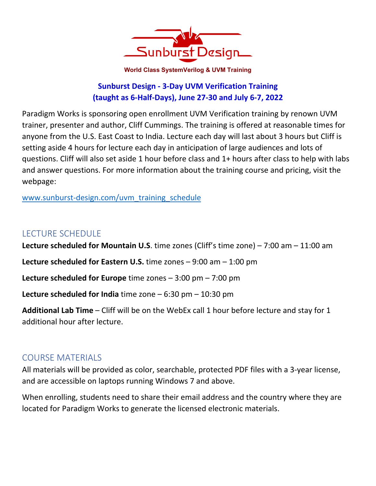

**World Class SystemVerilog & UVM Training** 

## **Sunburst Design - 3-Day UVM Verification Training (taught as 6-Half-Days), June 27-30 and July 6-7, 2022**

Paradigm Works is sponsoring open enrollment UVM Verification training by renown UVM trainer, presenter and author, Cliff Cummings. The training is offered at reasonable times for anyone from the U.S. East Coast to India. Lecture each day will last about 3 hours but Cliff is setting aside 4 hours for lecture each day in anticipation of large audiences and lots of questions. Cliff will also set aside 1 hour before class and 1+ hours after class to help with labs and answer questions. For more information about the training course and pricing, visit the webpage:

www.sunburst-design.com/uvm\_training\_schedule

# LECTURE SCHEDULE

**Lecture scheduled for Mountain U.S**. time zones (Cliff's time zone) – 7:00 am – 11:00 am **Lecture scheduled for Eastern U.S.** time zones – 9:00 am – 1:00 pm **Lecture scheduled for Europe** time zones – 3:00 pm – 7:00 pm **Lecture scheduled for India** time zone – 6:30 pm – 10:30 pm **Additional Lab Time** – Cliff will be on the WebEx call 1 hour before lecture and stay for 1 additional hour after lecture.

## COURSE MATERIALS

All materials will be provided as color, searchable, protected PDF files with a 3-year license, and are accessible on laptops running Windows 7 and above.

When enrolling, students need to share their email address and the country where they are located for Paradigm Works to generate the licensed electronic materials.